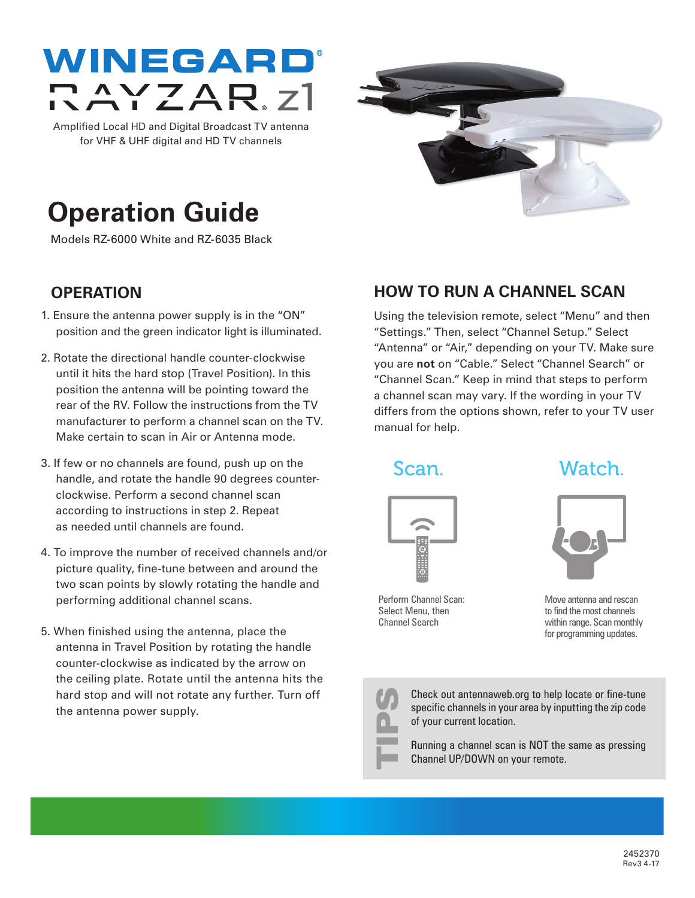

Amplified Local HD and Digital Broadcast TV antenna for VHF & UHF digital and HD TV channels



# **Operation Guide**

Models RZ-6000 White and RZ-6035 Black

## **OPERATION**

- 1. Ensure the antenna power supply is in the "ON" position and the green indicator light is illuminated.
- 2. Rotate the directional handle counter-clockwise until it hits the hard stop (Travel Position). In this position the antenna will be pointing toward the rear of the RV. Follow the instructions from the TV manufacturer to perform a channel scan on the TV. Make certain to scan in Air or Antenna mode.
- 3. If few or no channels are found, push up on the handle, and rotate the handle 90 degrees counterclockwise. Perform a second channel scan according to instructions in step 2. Repeat as needed until channels are found.
- 4. To improve the number of received channels and/or picture quality, fine-tune between and around the two scan points by slowly rotating the handle and performing additional channel scans.
- 5. When finished using the antenna, place the antenna in Travel Position by rotating the handle counter-clockwise as indicated by the arrow on the ceiling plate. Rotate until the antenna hits the hard stop and will not rotate any further. Turn off the antenna power supply.

## **HOW TO RUN A CHANNEL SCAN**

Using the television remote, select "Menu" and then "Settings." Then, select "Channel Setup." Select "Antenna" or "Air," depending on your TV. Make sure you are **not** on "Cable." Select "Channel Search" or "Channel Scan." Keep in mind that steps to perform a channel scan may vary. If the wording in your TV differs from the options shown, refer to your TV user manual for help.

Scan. Watch.



Perform Channel Scan: Select Menu, then Channel Search

Move antenna and rescan to find the most channels within range. Scan monthly for programming updates.



Check out antennaweb.org to help locate or fine-tune specific channels in your area by inputting the zip code of your current location. Check out antennaweb.org to help lospecific channels in your area by input of your current location.<br>
Running a channel scan is NOT the Channel UP/DOWN on your remote.

Running a channel scan is NOT the same as pressing